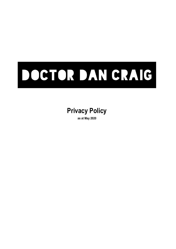# DOCTOR DAN CRAIG

# **Privacy Policy**

**as at May 2020**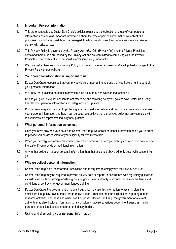# **1. Important Privacy Information**

- 1.1. This statement sets out Doctor Dan Craig's policies relating to the collection and use of your personal information and contains important information about the type of personal information we collect, the purposes for which it is used, how it is managed, to whom we disclose it and what measures we take to comply with privacy laws.
- 1.2. This Privacy Policy is governed by the Privacy Act 1988 (Cth) (Privacy Act) and the Privacy Principles contained therein. We are bound by the Privacy Act and are committed to complying with the Privacy Principles. The privacy of your personal information is very important to us.
- 1.3. We may make changes to this Privacy Policy from time to time for any reason. We will publish changes to this Privacy Policy on our website.

# **2. Your personal information is important to us**

- 2.1. Doctor Dan Craig recognises that your privacy is very important to you and that you have a right to control your personal information.
- 2.2. We know that providing personal information is an act of trust and we take that seriously.
- 2.3. Unless you give us explicit consent to act otherwise, the following policy will govern how Doctor Dan Craig handles your personal information and safeguards your privacy.
- 2.4. Doctor Dan Craig is committed to protecting your personal information and giving you choice in who can use your personal information and how it can be used. We believe that our privacy policy not only complies with relevant laws but represents industry best practice.

# **3. What personal information we collect**

- 3.1. Once you have provided your details to Doctor Dan Craig, we collect personal information about you in order to provide you an assessment of your eligibility for free mentorship.
- 3.2. When you first register for free mentorship, we collect information from you directly and also from time to time thereafter if you provide us additional information.
- 3.3. Any further collection of your personal information than that explained above will only occur with consent from you.

# **4. Why we collect personal information**

- 4.1. Doctor Dan Craig is an Incorporated Association and is required to comply with the Privacy Act 1988.
- 4.2. Doctor Dan Craig may be required to provide activity data or reports in accordance with regulatory guidelines, as instructed by its governing registering body or government authority or in compliance with the terms and conditions of contracts for government funded training.
- 4.3. Doctor Dan Craig, the government or relevant authority may use this information to assist in planning, administration, policy development, program evaluation, promotion, resource allocation, reporting and/or research activities. For these and other lawful purposes, Doctor Dan Craig, the government or relevant authority may also disclose information to its consultants, advisers, various government agencies, media partners, professional bodies and/or other industry bodies.

# **5. Using and disclosing your personal information**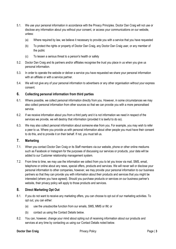- 5.1. We use your personal information in accordance with the Privacy Principles. Doctor Dan Craig will not use or disclose any information about you without your consent, or access your communications on our website, unless:
	- (a) Where required by law, we believe it necessary to provide you with a service that you have requested
	- (b) To protect the rights or property of Doctor Dan Craig, any Doctor Dan Craig user, or any member of the public
	- (c) To lessen a serious threat to a person's health or safety
- 5.2. Doctor Dan Craig and its partners and/or affiliates recognise the trust you place in us when you give us personal information.
- 5.3. In order to operate the website or deliver a service you have requested we share your personal information with an affiliate or with a service partner.
- 5.4. We will not give any of your personal information to advertisers or any other organisation without your express consent.

# **6. Collecting personal information from third parties**

- 6.1. Where possible, we collect personal information directly from you. However, in some circumstances we may also collect personal information from other sources so that we can provide you with a more personalised service.
- 6.2. If we receive information about you from a third party and it is not information we need in respect of the services we provide, we will destroy that information (provided it is lawful to do so).
- 6.3. We may also collect personal information about someone else from you. For example, you may wish to refer a peer to us. Where you provide us with personal information about other people you must have their consent to do this, and to provide it on their behalf. If not, you must tell us.

# **7. Marketing**

- 7.1. When you contact Doctor Dan Craig or its Staff members via our website, phone or other online mediums such as Facebook or Instagram for the purposes of discussing our services or products, your data will be added to our Customer relationship management system.
- 7.2. From time to time, we may use the information we collect from you to let you know via mail, SMS, email, telephone or online about any news, special offers, products and services. We will never sell or disclose your personal information to other companies, however, we may provide your personal information to our business partners so that they can provide you with information about their products and services that you might be interested (where you have agreed). Should you purchase products or services on our business partner's website, their privacy policy will apply to those products and services.

# **8. Direct Marketing Opt Out**

- 8.1. If you do not want to receive any marketing offers, you can choose to opt out of our marketing activities. To opt out, you can either:
	- (a) use the unsubscribe function from our emails, SMS, MMS or IM; or
	- (b) contact us using the Contact Details below.
- 8.2. You can, however, change your mind about opting out of receiving information about our products and services at any time by contacting us using our Contact Details noted below.

#### **Doctor Dan Craig** Privacy Policy Policy Policy Privacy Policy Page | 3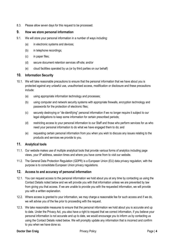8.3. Please allow seven days for this request to be processed.

# **9. How we store personal information**

- 9.1. We will store your personal information in a number of ways including:
	- (a) in electronic systems and devices;
	- (b) in telephone recordings;
	- (c) in paper files;
	- (d) secure document retention services off-site; and/or
	- (e) cloud facilities operated by us (or by third parties on our behalf)

# **10. Information Security**

- 10.1. We will take reasonable precautions to ensure that the personal information that we have about you is protected against any unlawful use, unauthorised access, modification or disclosure and these precautions include:
	- (a) using appropriate information technology and processes;
	- (b) using computer and network security systems with appropriate firewalls, encryption technology and passwords for the protection of electronic files;
	- (c) securely destroying or "de-identifying" personal information if we no longer require it subject to our legal obligations to keep some information for certain prescribed periods;
	- (d) restricting access to your personal information to our Staff and those who perform services for us who need your personal information to do what we have engaged them to do; and
	- (e) requesting certain personal information from you when you wish to discuss any issues relating to the products and services we provide to you.

# **11. Analytical tools**

- 11.1. Our website makes use of multiple analytical tools that provide various forms of analytics including page views, your IP address, session times and where you have come from to visit our website.
- 11.2. The General Data Protection Regulation (GDPR) is a European Union (EU) data privacy regulation, with the purpose is to consolidate European Union privacy regulations.

## **12. Access to and accuracy of personal information**

- 12.1. You can request access to the personal information we hold about you at any time by contacting us using the Contact Details noted below and we will provide you with that information unless we are prevented by law from giving you that access. If we are unable to provide you with the requested information, we will provide you with a written explanation.
- 12.2. Where access is granted to your information, we may charge a reasonable fee for such access and if we do, we will advise you of the fee prior to proceeding with the request.
- 12.3. We take reasonable measures to ensure that the personal information we hold about you is accurate and up to date. Under the Privacy Act, you also have a right to request that we correct information, if you believe your personal information is not accurate and up to date, we would encourage you to inform us by contacting us using the Contact Details noted below. We will promptly update any information that is incorrect and confirm to you when we have done so.

## **Doctor Dan Craig** Privacy Policy Policy Policy Privacy Policy Page | 4